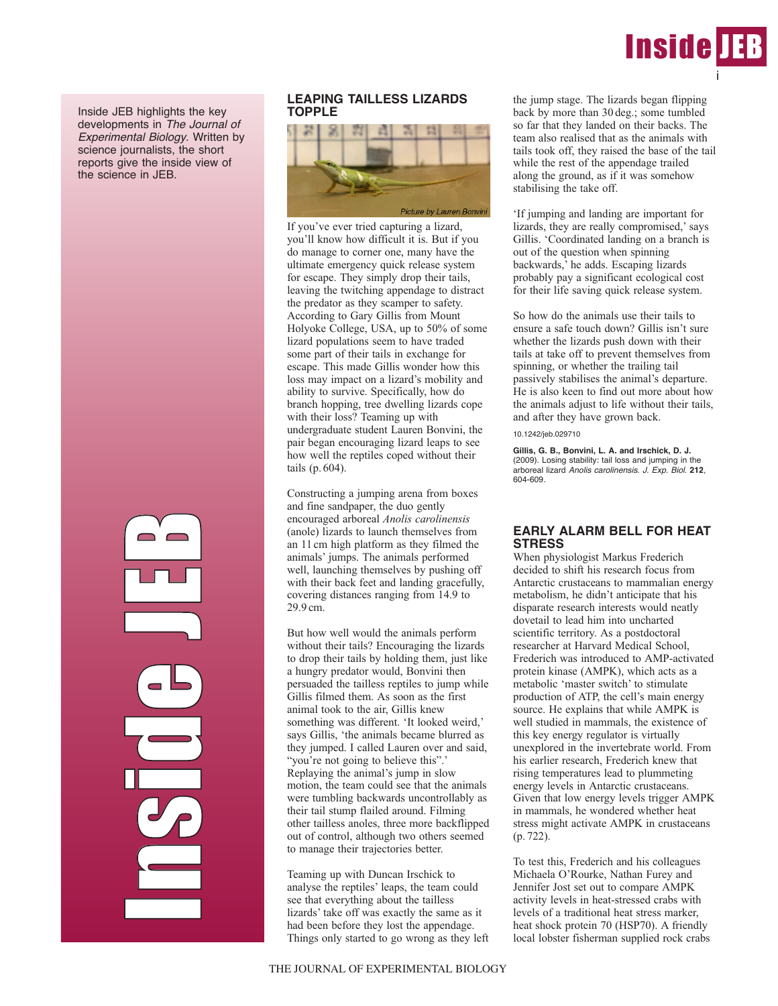

Inside JEB highlights the key developments in The Journal of Experimental Biology. Written by science journalists, the short reports give the inside view of the science in JEB.

> **Industrial** n $\mathcal{C}_{\mathcal{P}}$ in 1999 and 1999 d<br>J e J EP)

### **LEAPING TAILLESS LIZARDS TOPPLE**



If you've ever tried capturing a lizard, you'll know how difficult it is. But if you do manage to corner one, many have the ultimate emergency quick release system for escape. They simply drop their tails, leaving the twitching appendage to distract the predator as they scamper to safety. According to Gary Gillis from Mount Holyoke College, USA, up to 50% of some lizard populations seem to have traded some part of their tails in exchange for escape. This made Gillis wonder how this loss may impact on a lizard's mobility and ability to survive. Specifically, how do branch hopping, tree dwelling lizards cope with their loss? Teaming up with undergraduate student Lauren Bonvini, the pair began encouraging lizard leaps to see how well the reptiles coped without their tails (p. 604).

Constructing a jumping arena from boxes and fine sandpaper, the duo gently encouraged arboreal *Anolis carolinensis* (anole) lizards to launch themselves from an 11 cm high platform as they filmed the animals' jumps. The animals performed well, launching themselves by pushing off with their back feet and landing gracefully, covering distances ranging from 14.9 to 29.9 cm.

But how well would the animals perform without their tails? Encouraging the lizards to drop their tails by holding them, just like a hungry predator would, Bonvini then persuaded the tailless reptiles to jump while Gillis filmed them. As soon as the first animal took to the air, Gillis knew something was different. 'It looked weird,' says Gillis, 'the animals became blurred as they jumped. I called Lauren over and said, "you're not going to believe this"." Replaying the animal's jump in slow motion, the team could see that the animals were tumbling backwards uncontrollably as their tail stump flailed around. Filming other tailless anoles, three more backflipped out of control, although two others seemed to manage their trajectories better.

Teaming up with Duncan Irschick to analyse the reptiles' leaps, the team could see that everything about the tailless lizards' take off was exactly the same as it had been before they lost the appendage. Things only started to go wrong as they left the jump stage. The lizards began flipping back by more than 30 deg.; some tumbled so far that they landed on their backs. The team also realised that as the animals with tails took off, they raised the base of the tail while the rest of the appendage trailed along the ground, as if it was somehow stabilising the take off.

'If jumping and landing are important for lizards, they are really compromised,' says Gillis. 'Coordinated landing on a branch is out of the question when spinning backwards,' he adds. Escaping lizards probably pay a significant ecological cost for their life saving quick release system.

So how do the animals use their tails to ensure a safe touch down? Gillis isn't sure whether the lizards push down with their tails at take off to prevent themselves from spinning, or whether the trailing tail passively stabilises the animal's departure. He is also keen to find out more about how the animals adjust to life without their tails, and after they have grown back.

10.1242/jeb.029710

**Gillis, G. B., Bonvini, L. A. and Irschick, D. J.** (2009). Losing stability: tail loss and jumping in the arboreal lizard Anolis carolinensis. J. Exp. Biol. **212**, 604-609.

## **EARLY ALARM BELL FOR HEAT STRESS**

When physiologist Markus Frederich decided to shift his research focus from Antarctic crustaceans to mammalian energy metabolism, he didn't anticipate that his disparate research interests would neatly dovetail to lead him into uncharted scientific territory. As a postdoctoral researcher at Harvard Medical School, Frederich was introduced to AMP-activated protein kinase (AMPK), which acts as a metabolic 'master switch' to stimulate production of ATP, the cell's main energy source. He explains that while AMPK is well studied in mammals, the existence of this key energy regulator is virtually unexplored in the invertebrate world. From his earlier research, Frederich knew that rising temperatures lead to plummeting energy levels in Antarctic crustaceans. Given that low energy levels trigger AMPK in mammals, he wondered whether heat stress might activate AMPK in crustaceans (p. 722).

To test this, Frederich and his colleagues Michaela O'Rourke, Nathan Furey and Jennifer Jost set out to compare AMPK activity levels in heat-stressed crabs with levels of a traditional heat stress marker, heat shock protein 70 (HSP70). A friendly local lobster fisherman supplied rock crabs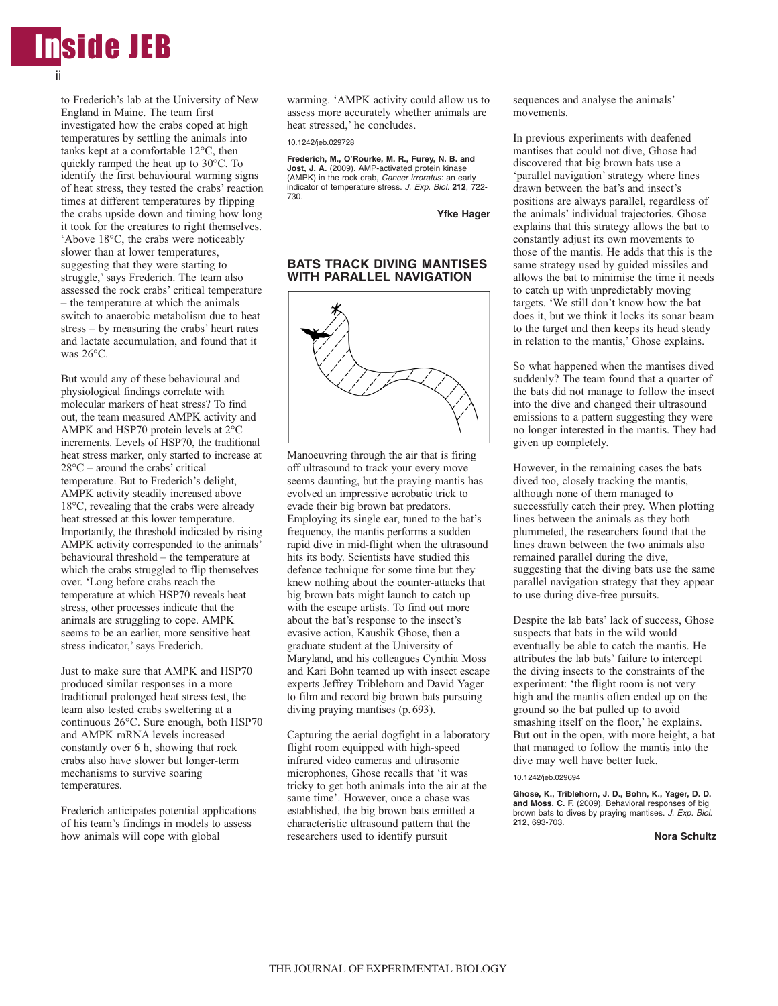

to Frederich's lab at the University of New England in Maine. The team first investigated how the crabs coped at high temperatures by settling the animals into tanks kept at a comfortable 12°C, then quickly ramped the heat up to 30°C. To identify the first behavioural warning signs of heat stress, they tested the crabs' reaction times at different temperatures by flipping the crabs upside down and timing how long it took for the creatures to right themselves. 'Above 18°C, the crabs were noticeably slower than at lower temperatures, suggesting that they were starting to struggle,' says Frederich. The team also assessed the rock crabs' critical temperature – the temperature at which the animals switch to anaerobic metabolism due to heat stress – by measuring the crabs' heart rates and lactate accumulation, and found that it was 26°C.

But would any of these behavioural and physiological findings correlate with molecular markers of heat stress? To find out, the team measured AMPK activity and AMPK and HSP70 protein levels at 2°C increments. Levels of HSP70, the traditional heat stress marker, only started to increase at  $28^{\circ}$ C – around the crabs' critical temperature. But to Frederich's delight, AMPK activity steadily increased above 18°C, revealing that the crabs were already heat stressed at this lower temperature. Importantly, the threshold indicated by rising AMPK activity corresponded to the animals' behavioural threshold – the temperature at which the crabs struggled to flip themselves over. 'Long before crabs reach the temperature at which HSP70 reveals heat stress, other processes indicate that the animals are struggling to cope. AMPK seems to be an earlier, more sensitive heat stress indicator,' says Frederich.

Just to make sure that AMPK and HSP70 produced similar responses in a more traditional prolonged heat stress test, the team also tested crabs sweltering at a continuous 26°C. Sure enough, both HSP70 and AMPK mRNA levels increased constantly over 6 h, showing that rock crabs also have slower but longer-term mechanisms to survive soaring temperatures.

Frederich anticipates potential applications of his team's findings in models to assess how animals will cope with global

warming. 'AMPK activity could allow us to assess more accurately whether animals are heat stressed,' he concludes.

10.1242/jeb.029728

**Frederich, M., O'Rourke, M. R., Furey, N. B. and Jost, J. A.** (2009). AMP-activated protein kinase (AMPK) in the rock crab, Cancer irroratus: an early indicator of temperature stress. J. Exp. Biol. **212**, 722- 730.

**Yfke Hager**

### **BATS TRACK DIVING MANTISES WITH PARALLEL NAVIGATION**



Manoeuvring through the air that is firing off ultrasound to track your every move seems daunting, but the praying mantis has evolved an impressive acrobatic trick to evade their big brown bat predators. Employing its single ear, tuned to the bat's frequency, the mantis performs a sudden rapid dive in mid-flight when the ultrasound hits its body. Scientists have studied this defence technique for some time but they knew nothing about the counter-attacks that big brown bats might launch to catch up with the escape artists. To find out more about the bat's response to the insect's evasive action, Kaushik Ghose, then a graduate student at the University of Maryland, and his colleagues Cynthia Moss and Kari Bohn teamed up with insect escape experts Jeffrey Triblehorn and David Yager to film and record big brown bats pursuing diving praying mantises (p.693).

Capturing the aerial dogfight in a laboratory flight room equipped with high-speed infrared video cameras and ultrasonic microphones, Ghose recalls that 'it was tricky to get both animals into the air at the same time'. However, once a chase was established, the big brown bats emitted a characteristic ultrasound pattern that the researchers used to identify pursuit

sequences and analyse the animals' movements.

In previous experiments with deafened mantises that could not dive, Ghose had discovered that big brown bats use a 'parallel navigation' strategy where lines drawn between the bat's and insect's positions are always parallel, regardless of the animals' individual trajectories. Ghose explains that this strategy allows the bat to constantly adjust its own movements to those of the mantis. He adds that this is the same strategy used by guided missiles and allows the bat to minimise the time it needs to catch up with unpredictably moving targets. 'We still don't know how the bat does it, but we think it locks its sonar beam to the target and then keeps its head steady in relation to the mantis,' Ghose explains.

So what happened when the mantises dived suddenly? The team found that a quarter of the bats did not manage to follow the insect into the dive and changed their ultrasound emissions to a pattern suggesting they were no longer interested in the mantis. They had given up completely.

However, in the remaining cases the bats dived too, closely tracking the mantis, although none of them managed to successfully catch their prey. When plotting lines between the animals as they both plummeted, the researchers found that the lines drawn between the two animals also remained parallel during the dive, suggesting that the diving bats use the same parallel navigation strategy that they appear to use during dive-free pursuits.

Despite the lab bats' lack of success, Ghose suspects that bats in the wild would eventually be able to catch the mantis. He attributes the lab bats' failure to intercept the diving insects to the constraints of the experiment: 'the flight room is not very high and the mantis often ended up on the ground so the bat pulled up to avoid smashing itself on the floor,' he explains. But out in the open, with more height, a bat that managed to follow the mantis into the dive may well have better luck.

10.1242/jeb.029694

**Ghose, K., Triblehorn, J. D., Bohn, K., Yager, D. D. and Moss, C. F.** (2009). Behavioral responses of big brown bats to dives by praying mantises. J. Exp. Biol. **212**, 693-703.

#### **Nora Schultz**